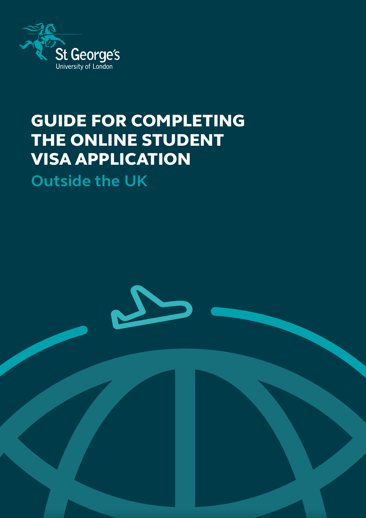

## GUIDE FOR COMPLETING THE ONLINE STUDENT VISA APPLICATION

**Outside the UK**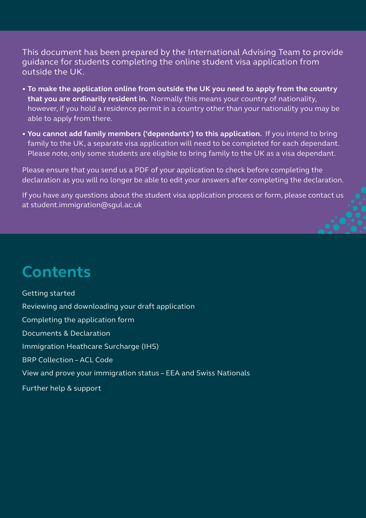This document has been prepared by the International Advising Team to provide guidance for students completing the online student visa application from outside the UK.

- **To make the application online from outside the UK you need to apply from the country that you are ordinarily resident in.** Normally this means your country of nationality, however, if you hold a residence permit in a country other than your nationality you may be able to apply from there.
- **You cannot add family members ('dependants') to this application.** If you intend to bring family to the UK, a separate visa application will need to be completed for each dependant. Please note, only some students are eligible to bring family to the UK as a visa dependant.

Please ensure that you send us a PDF of your application to check before completing the declaration as you will no longer be able to edit your answers after completing the declaration.

If you have any questions about the student visa application process or form, please contact us at student.immigration@sgul.ac.uk

### **Contents**

[Getting started](#page-2-0) [Reviewing and downloading your draft application](#page-2-0) [Completing the application form](#page-3-0) [Documents & Declaration](#page-8-0) [Immigration Heathcare Surcharge \(IHS\)](#page-8-0) [BRP Collection – ACL Code](#page-9-0) [View and prove your immigration status – EEA and Swiss Nationals](#page-9-0) [Further help & support](#page-9-0)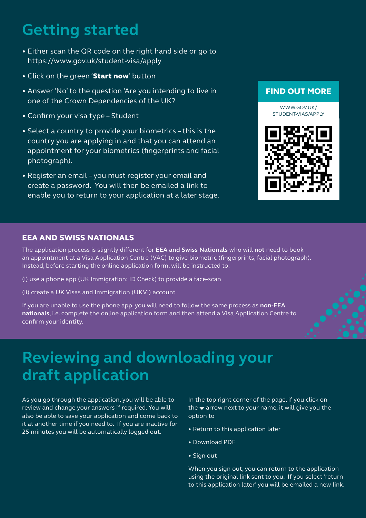## <span id="page-2-0"></span>**Getting started**

- Either scan the QR code on the right hand side or go to https://www.gov.uk/student-visa/apply
- Click on the green 'Start now' button
- Answer 'No' to the question 'Are you intending to live in one of the Crown Dependencies of the UK?
- Confirm your visa type Student
- Select a country to provide your biometrics this is the country you are applying in and that you can attend an appointment for your biometrics (fingerprints and facial photograph).
- Register an email you must register your email and create a password. You will then be emailed a link to enable you to return to your application at a later stage.

### FIND OUT MORE

WWW.GOVUK/ STUDENT-VIAS/APPLY



#### EEA AND SWISS NATIONALS

The application process is slightly different for **EEA and Swiss Nationals** who will **not** need to book an appointment at a Visa Application Centre (VAC) to give biometric (fingerprints, facial photograph). Instead, before starting the online application form, will be instructed to:

(i) use a phone app (UK Immigration: ID Check) to provide a face-scan

(ii) create a UK Visas and Immigration (UKVI) account

If you are unable to use the phone app, you will need to follow the same process as **non-EEA nationals**, i.e. complete the online application form and then attend a Visa Application Centre to confirm your identity.

### **Reviewing and downloading your draft application**

As you go through the application, you will be able to review and change your answers if required. You will also be able to save your application and come back to it at another time if you need to. If you are inactive for 25 minutes you will be automatically logged out.

In the top right corner of the page, if you click on the  $\blacktriangleright$  arrow next to your name, it will give you the option to

- Return to this application later
- Download PDF
- Sign out

When you sign out, you can return to the application using the original link sent to you. If you select 'return to this application later' you will be emailed a new link.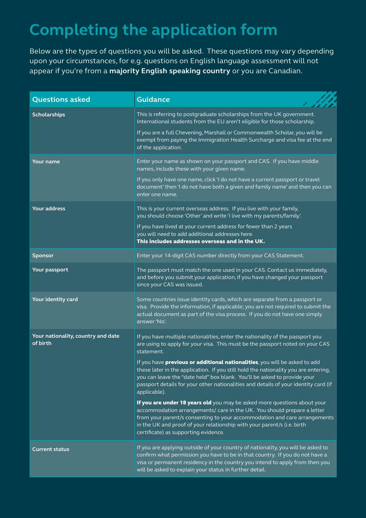# <span id="page-3-0"></span>**Completing the application form**

Below are the types of questions you will be asked. These questions may vary depending upon your circumstances, for e.g. questions on English language assessment will not appear if you're from a **[majority English speaking country](https://www.gov.uk/guidance/immigration-rules/immigration-rules-appendix-english-language)** or you are Canadian.

| <b>Questions asked</b>                         | <b>Guidance</b>                                                                                                                                                                                                                                                                                                                                                                                                                                                                                                                                                                                                                                                                                                                                                                                                                                                                                     |
|------------------------------------------------|-----------------------------------------------------------------------------------------------------------------------------------------------------------------------------------------------------------------------------------------------------------------------------------------------------------------------------------------------------------------------------------------------------------------------------------------------------------------------------------------------------------------------------------------------------------------------------------------------------------------------------------------------------------------------------------------------------------------------------------------------------------------------------------------------------------------------------------------------------------------------------------------------------|
| <b>Scholarships</b>                            | This is referring to postgraduate scholarships from the UK government.<br>International students from the EU aren't eligible for those scholarship.<br>If you are a full Chevening, Marshall or Commonwealth Scholar, you will be<br>exempt from paying the Immigration Health Surcharge and visa fee at the end<br>of the application.                                                                                                                                                                                                                                                                                                                                                                                                                                                                                                                                                             |
| <b>Your name</b>                               | Enter your name as shown on your passport and CAS. If you have middle<br>names, include these with your given name.<br>If you only have one name, click 'I do not have a current passport or travel<br>document' then 'I do not have both a given and family name' and then you can<br>enter one name.                                                                                                                                                                                                                                                                                                                                                                                                                                                                                                                                                                                              |
| <b>Your address</b>                            | This is your current overseas address. If you live with your family,<br>you should choose 'Other' and write 'I live with my parents/family'.<br>If you have lived at your current address for fewer than 2 years<br>you will need to add additional addresses here.<br>This includes addresses overseas and in the UK.                                                                                                                                                                                                                                                                                                                                                                                                                                                                                                                                                                              |
| <b>Sponsor</b>                                 | Enter your 14-digit CAS number directly from your CAS Statement.                                                                                                                                                                                                                                                                                                                                                                                                                                                                                                                                                                                                                                                                                                                                                                                                                                    |
| Your passport                                  | The passport must match the one used in your CAS. Contact us immediately,<br>and before you submit your application, if you have changed your passport<br>since your CAS was issued.                                                                                                                                                                                                                                                                                                                                                                                                                                                                                                                                                                                                                                                                                                                |
| Your identity card                             | Some countries issue identity cards, which are separate from a passport or<br>visa. Provide the information, if applicable; you are not required to submit the<br>actual document as part of the visa process. If you do not have one simply<br>answer 'No'.                                                                                                                                                                                                                                                                                                                                                                                                                                                                                                                                                                                                                                        |
| Your nationality, country and date<br>of birth | If you have multiple nationalities, enter the nationality of the passport you<br>are using to apply for your visa. This must be the passport noted on your CAS<br>statement.<br>If you have <b>previous or additional nationalities</b> , you will be asked to add<br>these later in the application. If you still hold the nationality you are entering,<br>you can leave the "date held" box blank. You'll be asked to provide your<br>passport details for your other nationalities and details of your identity card (if<br>applicable).<br>If you are under 18 years old you may be asked more questions about your<br>accommodation arrangements/ care in the UK. You should prepare a letter<br>from your parent/s consenting to your accommodation and care arrangements<br>in the UK and proof of your relationship with your parent/s (i.e. birth<br>certificate) as supporting evidence. |
| <b>Current status</b>                          | If you are applying outside of your country of nationality, you will be asked to<br>confirm what permission you have to be in that country. If you do not have a<br>visa or permanent residency in the country you intend to apply from then you<br>will be asked to explain your status in further detail.                                                                                                                                                                                                                                                                                                                                                                                                                                                                                                                                                                                         |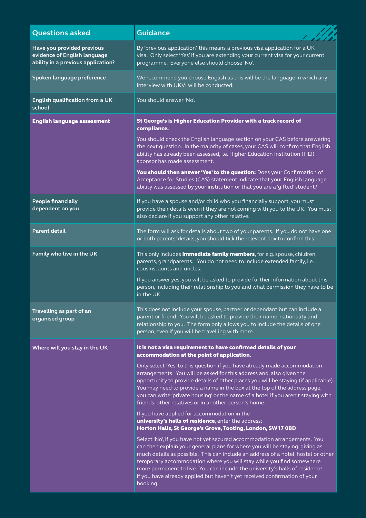| <b>Questions asked</b>                                                                           | <b>Guidance</b>                                                                                                                                                                                                                                                                                                                                                                                                                                                                               |
|--------------------------------------------------------------------------------------------------|-----------------------------------------------------------------------------------------------------------------------------------------------------------------------------------------------------------------------------------------------------------------------------------------------------------------------------------------------------------------------------------------------------------------------------------------------------------------------------------------------|
| Have you provided previous<br>evidence of English language<br>ability in a previous application? | By 'previous application', this means a previous visa application for a UK<br>visa. Only select 'Yes' if you are extending your current visa for your current<br>programme. Everyone else should choose 'No'.                                                                                                                                                                                                                                                                                 |
| Spoken language preference                                                                       | We recommend you choose English as this will be the language in which any<br>interview with UKVI will be conducted.                                                                                                                                                                                                                                                                                                                                                                           |
| English qualification from a UK<br>school                                                        | You should answer 'No'.                                                                                                                                                                                                                                                                                                                                                                                                                                                                       |
| <b>English language assessment</b>                                                               | St George's is Higher Education Provider with a track record of<br>compliance.                                                                                                                                                                                                                                                                                                                                                                                                                |
|                                                                                                  | You should check the English language section on your CAS before answering<br>the next question. In the majority of cases, your CAS will confirm that English<br>ability has already been assessed, i.e. Higher Education Institution (HEI)<br>sponsor has made assessment.                                                                                                                                                                                                                   |
|                                                                                                  | You should then answer 'Yes' to the question: Does your Confirmation of<br>Acceptance for Studies (CAS) statement indicate that your English language<br>ability was assessed by your institution or that you are a 'gifted' student?                                                                                                                                                                                                                                                         |
| <b>People financially</b><br>dependent on you                                                    | If you have a spouse and/or child who you financially support, you must<br>provide their details even if they are not coming with you to the UK. You must<br>also declare if you support any other relative.                                                                                                                                                                                                                                                                                  |
| <b>Parent detail</b>                                                                             | The form will ask for details about two of your parents. If you do not have one<br>or both parents' details, you should tick the relevant box to confirm this.                                                                                                                                                                                                                                                                                                                                |
| Family who live in the UK                                                                        | This only includes <i>immediate family members</i> , for e.g. spouse, children,<br>parents, grandparents. You do not need to include extended family, i.e.<br>cousins, aunts and uncles.                                                                                                                                                                                                                                                                                                      |
|                                                                                                  | If you answer yes, you will be asked to provide further information about this<br>person, including their relationship to you and what permission they have to be<br>in the UK.                                                                                                                                                                                                                                                                                                               |
| Travelling as part of an<br>organised group                                                      | This does not include your spouse, partner or dependant but can include a<br>parent or friend. You will be asked to provide their name, nationality and<br>relationship to you. The form only allows you to include the details of one<br>person, even if you will be travelling with more.                                                                                                                                                                                                   |
| Where will you stay in the UK                                                                    | It is not a visa requirement to have confirmed details of your<br>accommodation at the point of application.                                                                                                                                                                                                                                                                                                                                                                                  |
|                                                                                                  | Only select 'Yes' to this question if you have already made accommodation<br>arrangements. You will be asked for this address and, also given the<br>opportunity to provide details of other places you will be staying (if applicable).<br>You may need to provide a name in the box at the top of the address page,<br>you can write 'private housing' or the name of a hotel if you aren't staying with<br>friends, other relatives or in another person's home.                           |
|                                                                                                  | If you have applied for accommodation in the<br>university's halls of residence, enter the address:<br>Horton Halls, St George's Grove, Tooting, London, SW17 0BD                                                                                                                                                                                                                                                                                                                             |
|                                                                                                  | Select 'No', if you have not yet secured accommodation arrangements. You<br>can then explain your general plans for where you will be staying, giving as<br>much details as possible. This can include an address of a hotel, hostel or other<br>temporary accommodation where you will stay while you find somewhere<br>more permanent to live. You can include the university's halls of residence<br>if you have already applied but haven't yet received confirmation of your<br>booking. |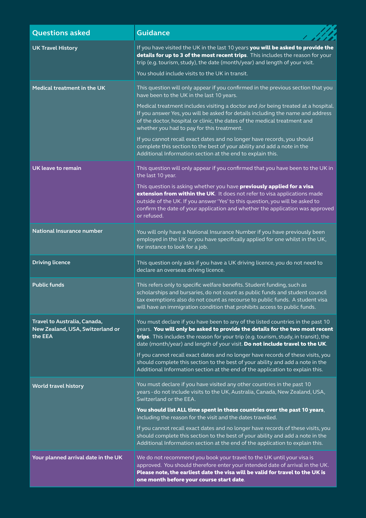| <b>Questions asked</b>                                                      | <b>Guidance</b>                                                                                                                                                                                                                                                                                                                         |
|-----------------------------------------------------------------------------|-----------------------------------------------------------------------------------------------------------------------------------------------------------------------------------------------------------------------------------------------------------------------------------------------------------------------------------------|
| <b>UK Travel History</b>                                                    | If you have visited the UK in the last 10 years you will be asked to provide the<br>details for up to 3 of the most recent trips. This includes the reason for your<br>trip (e.g. tourism, study), the date (month/year) and length of your visit.                                                                                      |
|                                                                             | You should include visits to the UK in transit.                                                                                                                                                                                                                                                                                         |
| Medical treatment in the UK                                                 | This question will only appear if you confirmed in the previous section that you<br>have been to the UK in the last 10 years.                                                                                                                                                                                                           |
|                                                                             | Medical treatment includes visiting a doctor and /or being treated at a hospital.<br>If you answer Yes, you will be asked for details including the name and address<br>of the doctor, hospital or clinic, the dates of the medical treatment and<br>whether you had to pay for this treatment.                                         |
|                                                                             | If you cannot recall exact dates and no longer have records, you should<br>complete this section to the best of your ability and add a note in the<br>Additional Information section at the end to explain this.                                                                                                                        |
| <b>UK leave to remain</b>                                                   | This question will only appear if you confirmed that you have been to the UK in<br>the last 10 year.                                                                                                                                                                                                                                    |
|                                                                             | This question is asking whether you have previously applied for a visa<br>extension from within the UK. It does not refer to visa applications made<br>outside of the UK. If you answer 'Yes' to this question, you will be asked to<br>confirm the date of your application and whether the application was approved<br>or refused.    |
| <b>National Insurance number</b>                                            | You will only have a National Insurance Number if you have previously been<br>employed in the UK or you have specifically applied for one whilst in the UK,<br>for instance to look for a job.                                                                                                                                          |
| <b>Driving licence</b>                                                      | This question only asks if you have a UK driving licence, you do not need to<br>declare an overseas driving licence.                                                                                                                                                                                                                    |
| <b>Public funds</b>                                                         | This refers only to specific welfare benefits. Student funding, such as<br>scholarships and bursaries, do not count as public funds and student council<br>tax exemptions also do not count as recourse to public funds. A student visa<br>will have an immigration condition that prohibits access to public funds.                    |
| Travel to Australia, Canada,<br>New Zealand, USA, Switzerland or<br>the EEA | You must declare if you have been to any of the listed countries in the past 10<br>years. You will only be asked to provide the details for the two most recent<br>trips. This includes the reason for your trip (e.g. tourism, study, in transit), the<br>date (month/year) and length of your visit. Do not include travel to the UK. |
|                                                                             | If you cannot recall exact dates and no longer have records of these visits, you<br>should complete this section to the best of your ability and add a note in the<br>Additional Information section at the end of the application to explain this.                                                                                     |
| <b>World travel history</b>                                                 | You must declare if you have visited any other countries in the past 10<br>years - do not include visits to the UK, Australia, Canada, New Zealand, USA,<br>Switzerland or the EEA.                                                                                                                                                     |
|                                                                             | You should list ALL time spent in these countries over the past 10 years,                                                                                                                                                                                                                                                               |
|                                                                             | including the reason for the visit and the dates travelled.<br>If you cannot recall exact dates and no longer have records of these visits, you<br>should complete this section to the best of your ability and add a note in the<br>Additional Information section at the end of the application to explain this.                      |
| Your planned arrival date in the UK                                         | We do not recommend you book your travel to the UK until your visa is<br>approved. You should therefore enter your intended date of arrival in the UK.<br>Please note, the earliest date the visa will be valid for travel to the UK is<br>one month before your course start date.                                                     |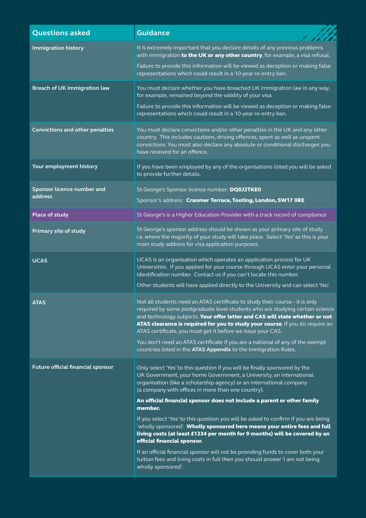| <b>Questions asked</b>                   | <b>Guidance</b>                                                                                                                                                                                                                                                                                                                                                                                                                                                                                                                                                                                                                                                                                                                                                                                                                                |
|------------------------------------------|------------------------------------------------------------------------------------------------------------------------------------------------------------------------------------------------------------------------------------------------------------------------------------------------------------------------------------------------------------------------------------------------------------------------------------------------------------------------------------------------------------------------------------------------------------------------------------------------------------------------------------------------------------------------------------------------------------------------------------------------------------------------------------------------------------------------------------------------|
| <b>Immigration history</b>               | It is extremely important that you declare details of any previous problems<br>with immigration to the UK or any other country, for example, a visa refusal.<br>Failure to provide this information will be viewed as deception or making false<br>representations which could result in a 10-year re-entry ban.                                                                                                                                                                                                                                                                                                                                                                                                                                                                                                                               |
| <b>Breach of UK immigration law</b>      | You must declare whether you have breached UK immigration law in any way,<br>for example, remained beyond the validity of your visa.<br>Failure to provide this information will be viewed as deception or making false<br>representations which could result in a 10-year re-entry ban.                                                                                                                                                                                                                                                                                                                                                                                                                                                                                                                                                       |
| <b>Convictions and other penalties</b>   | You must declare convictions and/or other penalties in the UK and any other<br>country. This includes cautions, driving offences, spent as well as unspent<br>convictions. You must also declare any absolute or conditional discharges you<br>have received for an offence.                                                                                                                                                                                                                                                                                                                                                                                                                                                                                                                                                                   |
| Your employment history                  | If you have been employed by any of the organisations listed you will be asked<br>to provide further details.                                                                                                                                                                                                                                                                                                                                                                                                                                                                                                                                                                                                                                                                                                                                  |
| Sponsor licence number and<br>address    | St George's Sponsor licence number: DQ0J2TKE0<br>Sponsor's address: Cranmer Terrace, Tooting, London, SW17 ORE                                                                                                                                                                                                                                                                                                                                                                                                                                                                                                                                                                                                                                                                                                                                 |
| <b>Place of study</b>                    | St George's is a Higher Education Provider with a track record of compliance                                                                                                                                                                                                                                                                                                                                                                                                                                                                                                                                                                                                                                                                                                                                                                   |
| <b>Primary site of study</b>             | St George's sponsor address should be shown as your primary site of study<br>i.e. where the majority of your study will take place. Select 'Yes' as this is your<br>main study address for visa application purposes.                                                                                                                                                                                                                                                                                                                                                                                                                                                                                                                                                                                                                          |
| <b>UCAS</b>                              | UCAS is an organisation which operates an application process for UK<br>Universities. If you applied for your course through UCAS enter your personal<br>identification number. Contact us if you can't locate this number.<br>Other students will have applied directly to the University and can select 'No'.                                                                                                                                                                                                                                                                                                                                                                                                                                                                                                                                |
| <b>ATAS</b>                              | Not all students need an ATAS certificate to study their course - it is only<br>required by some postgraduate level students who are studying certain science<br>and technology subjects. Your offer letter and CAS will state whether or not<br>ATAS clearance is required for you to study your course. If you do require an<br>ATAS certificate, you must get it before we issue your CAS.<br>You don't need an ATAS certificate if you are a national of any of the exempt<br>countries listed in the ATAS Appendix to the Immigration Rules.                                                                                                                                                                                                                                                                                              |
| <b>Future official financial sponsor</b> | Only select 'Yes' to this question if you will be finally sponsored by the<br>UK Government, your home Government, a University, an international<br>organisation (like a scholarship agency) or an international company<br>(a company with offices in more than one country).<br>An official financial sponsor does not include a parent or other family<br>member.<br>If you select 'Yes' to this question you will be asked to confirm if you are being<br>'wholly sponsored'. Wholly sponsored here means your entire fees and full<br>living costs (at least £1334 per month for 9 months) will be covered by an<br>official financial sponsor.<br>If an official financial sponsor will not be providing funds to cover both your<br>tuition fees and living costs in full then you should answer 'I am not being<br>wholly sponsored'. |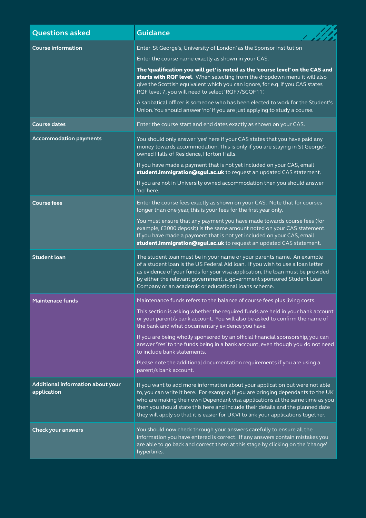| <b>Questions asked</b>                           | <b>Guidance</b>                                                                                                                                                                                                                                                                                                                                                                                                         |
|--------------------------------------------------|-------------------------------------------------------------------------------------------------------------------------------------------------------------------------------------------------------------------------------------------------------------------------------------------------------------------------------------------------------------------------------------------------------------------------|
| <b>Course information</b>                        | Enter 'St George's, University of London' as the Sponsor institution                                                                                                                                                                                                                                                                                                                                                    |
|                                                  | Enter the course name exactly as shown in your CAS.                                                                                                                                                                                                                                                                                                                                                                     |
|                                                  | The 'qualification you will get' is noted as the 'course level' on the CAS and<br>starts with RQF level. When selecting from the dropdown menu it will also<br>give the Scottish equivalent which you can ignore, for e.g. if you CAS states<br>RQF level 7, you will need to select 'RQF7/SCQF11'.                                                                                                                     |
|                                                  | A sabbatical officer is someone who has been elected to work for the Student's<br>Union. You should answer 'no' if you are just applying to study a course.                                                                                                                                                                                                                                                             |
| <b>Course dates</b>                              | Enter the course start and end dates exactly as shown on your CAS.                                                                                                                                                                                                                                                                                                                                                      |
| <b>Accommodation payments</b>                    | You should only answer 'yes' here if your CAS states that you have paid any<br>money towards accommodation. This is only if you are staying in St George'-<br>owned Halls of Residence, Horton Halls.                                                                                                                                                                                                                   |
|                                                  | If you have made a payment that is not yet included on your CAS, email<br>student.immigration@sgul.ac.uk to request an updated CAS statement.                                                                                                                                                                                                                                                                           |
|                                                  | If you are not in University owned accommodation then you should answer<br>'no' here.                                                                                                                                                                                                                                                                                                                                   |
| <b>Course fees</b>                               | Enter the course fees exactly as shown on your CAS. Note that for courses<br>longer than one year, this is your fees for the first year only.                                                                                                                                                                                                                                                                           |
|                                                  | You must ensure that any payment you have made towards course fees (for<br>example, £3000 deposit) is the same amount noted on your CAS statement.<br>If you have made a payment that is not yet included on your CAS, email<br>student.immigration@sgul.ac.uk to request an updated CAS statement.                                                                                                                     |
| <b>Student loan</b>                              | The student loan must be in your name or your parents name. An example<br>of a student loan is the US Federal Aid loan. If you wish to use a loan letter<br>as evidence of your funds for your visa application, the loan must be provided<br>by either the relevant government, a government sponsored Student Loan<br>Company or an academic or educational loans scheme.                                             |
| <b>Maintenace funds</b>                          | Maintenance funds refers to the balance of course fees plus living costs.                                                                                                                                                                                                                                                                                                                                               |
|                                                  | This section is asking whether the required funds are held in your bank account<br>or your parent/s bank account. You will also be asked to confirm the name of<br>the bank and what documentary evidence you have.                                                                                                                                                                                                     |
|                                                  | If you are being wholly sponsored by an official financial sponsorship, you can<br>answer 'Yes' to the funds being in a bank account, even though you do not need<br>to include bank statements.                                                                                                                                                                                                                        |
|                                                  | Please note the additional documentation requirements if you are using a<br>parent/s bank account.                                                                                                                                                                                                                                                                                                                      |
| Additional information about your<br>application | If you want to add more information about your application but were not able<br>to, you can write it here. For example, if you are bringing dependants to the UK<br>who are making their own Dependant visa applications at the same time as you<br>then you should state this here and include their details and the planned date<br>they will apply so that it is easier for UKVI to link your applications together. |
| <b>Check your answers</b>                        | You should now check through your answers carefully to ensure all the<br>information you have entered is correct. If any answers contain mistakes you<br>are able to go back and correct them at this stage by clicking on the 'change'<br>hyperlinks.                                                                                                                                                                  |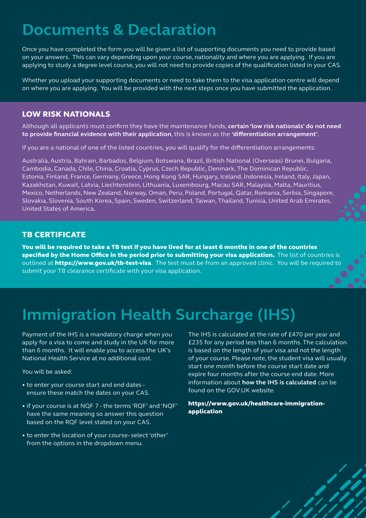### <span id="page-8-0"></span>**Documents & Declaration**

Once you have completed the form you will be given a list of supporting documents you need to provide based on your answers. This can vary depending upon your course, nationality and where you are applying. If you are applying to study a degree level course, you will not need to provide copies of the qualification listed in your CAS.

Whether you upload your supporting documents or need to take them to the visa application centre will depend on where you are applying. You will be provided with the next steps once you have submitted the application.

#### LOW RISK NATIONALS

Although all applicants must confirm they have the maintenance funds, **certain 'low risk nationals' do not need to provide financial evidence with their application**, this is known as the **['differentiation arrangement'](https://www.gov.uk/guidance/financial-evidence-for-student-and-child-student-route-applicants#exempt-countries)**.

If you are a national of one of the listed countries, you will qualify for the differentiation arrangements:

Australia, Austria, Bahrain, Barbados, Belgium, Botswana, Brazil, British National (Overseas) Brunei, Bulgaria, Cambodia, Canada, Chile, China, Croatia, Cyprus, Czech Republic, Denmark, The Dominican Republic, Estonia, Finland, France, Germany, Greece, Hong Kong SAR, Hungary, Iceland, Indonesia, Ireland, Italy, Japan, Kazakhstan, Kuwait, Latvia, Liechtenstein, Lithuania, Luxembourg, Macau SAR, Malaysia, Malta, Mauritius, Mexico, Netherlands, New Zealand, Norway, Oman, Peru, Poland, Portugal, Qatar, Romania, Serbia, Singapore, Slovakia, Slovenia, South Korea, Spain, Sweden, Switzerland, Taiwan, Thailand, Tunisia, United Arab Emirates, United States of America.

### TB CERTIFICATE

You will be required to take a TB test if you have lived for at least 6 months in one of the countries specified by the Home Office in the period prior to submitting your visa application. The list of countries is outlined at **https://www.gov.uk/tb-test-visa**. The test must be from an approved clinic. You will be required to submit your TB clearance certificate with your visa application.

## **Immigration Health Surcharge (IHS)**

Payment of the IHS is a mandatory charge when you apply for a visa to come and study in the UK for more than 6 months. It will enable you to access the UK's National Health Service at no additional cost.

You will be asked:

- to enter your course start and end dates ensure these match the dates on your CAS.
- if your course is at NQF 7 the terms 'RQF' and 'NQF' have the same meaning so answer this question based on the RQF level stated on your CAS.
- to enter the location of your course- select 'other' from the options in the dropdown menu.

The IHS is calculated at the rate of £470 per year and £235 for any period less than 6 months. The calculation is based on the length of your visa and not the length of your course. Please note, the student visa will usually start one month before the course start date and expire four months after the course end date. More information about **[how the IHS is calculated](https://www.gov.uk/healthcare-immigration-application/how-much-pay)** can be found on the GOV.UK website.

d B

[https://www.gov.uk/healthcare-immigration](https://www.gov.uk/healthcare-immigration-application/how-much-pay)[application](https://www.gov.uk/healthcare-immigration-application/how-much-pay)